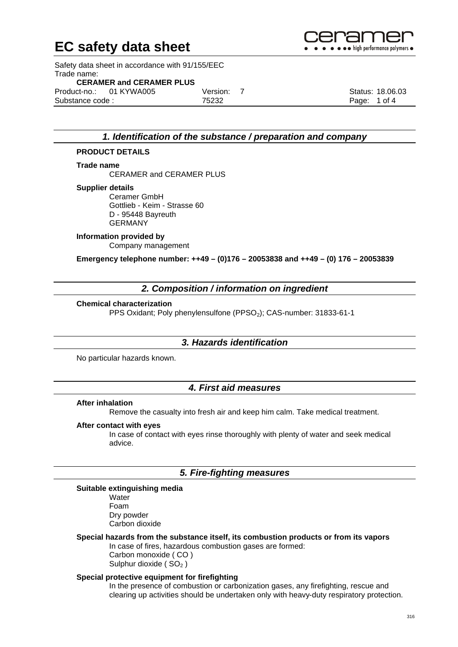Safety data sheet in accordance with 91/155/EEC Trade name:

### **CERAMER and CERAMER PLUS**

|                 | Product-no.: 01 KYWA005 | Version: 7 | Status: 18.06.03 |
|-----------------|-------------------------|------------|------------------|
| Substance code: |                         | 75232      | Page: 1 of 4     |

### *1. Identification of the substance / preparation and company*

#### **PRODUCT DETAILS**

#### **Trade name**

CERAMER and CERAMER PLUS

#### **Supplier details**

Ceramer GmbH Gottlieb - Keim - Strasse 60 D - 95448 Bayreuth GERMANY

## **Information provided by**

Company management

**Emergency telephone number: ++49 – (0)176 – 20053838 and ++49 – (0) 176 – 20053839**

## *2. Composition / information on ingredient*

#### **Chemical characterization**

PPS Oxidant; Poly phenylensulfone (PPSO<sub>2</sub>); CAS-number: 31833-61-1

#### *3. Hazards identification*

No particular hazards known.

## *4. First aid measures*

#### **After inhalation**

Remove the casualty into fresh air and keep him calm. Take medical treatment.

#### **After contact with eyes**

In case of contact with eyes rinse thoroughly with plenty of water and seek medical advice.

## *5. Fire-fighting measures*

#### **Suitable extinguishing media**

**Water** Foam Dry powder Carbon dioxide

## **Special hazards from the substance itself, its combustion products or from its vapors**

In case of fires, hazardous combustion gases are formed:

Carbon monoxide ( CO ) Sulphur dioxide ( $SO<sub>2</sub>$ )

#### **Special protective equipment for firefighting**

In the presence of combustion or carbonization gases, any firefighting, rescue and clearing up activities should be undertaken only with heavy-duty respiratory protection.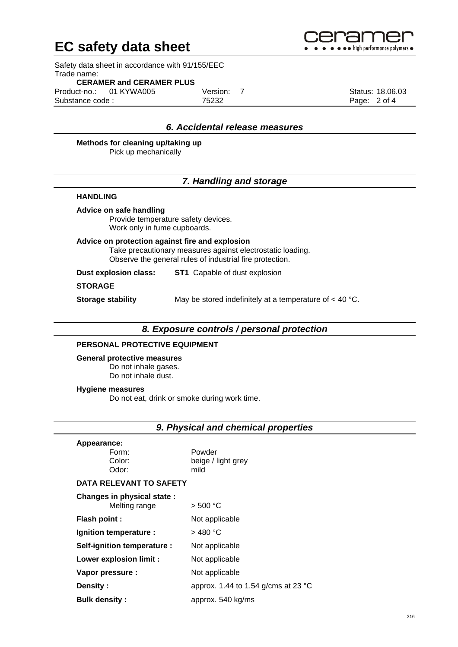

Safety data sheet in accordance with 91/155/EEC Trade name:

#### **CERAMER and CERAMER PLUS**

|                 | Product-no.: 01 KYWA005 | Version: |              | Status: 18.06.03 |
|-----------------|-------------------------|----------|--------------|------------------|
| Substance code: |                         | 75232    | Page: 2 of 4 |                  |

## *6. Accidental release measures*

#### **Methods for cleaning up/taking up**

Pick up mechanically

## *7. Handling and storage*

#### **HANDLING**

#### **Advice on safe handling**

Provide temperature safety devices. Work only in fume cupboards.

**Advice on protection against fire and explosion** Take precautionary measures against electrostatic loading. Observe the general rules of industrial fire protection.

**Dust explosion class: ST1** Capable of dust explosion

#### **STORAGE**

**Storage stability** May be stored indefinitely at a temperature of < 40 °C.

## *8. Exposure controls / personal protection*

#### **PERSONAL PROTECTIVE EQUIPMENT**

**General protective measures** Do not inhale gases.

Do not inhale dust.

#### **Hygiene measures**

Do not eat, drink or smoke during work time.

|  |  |  |  | 9. Physical and chemical properties |
|--|--|--|--|-------------------------------------|
|--|--|--|--|-------------------------------------|

| Appearance:<br>Form:<br>Color:<br>Odor:     | Powder<br>beige / light grey<br>mild |
|---------------------------------------------|--------------------------------------|
| <b>DATA RELEVANT TO SAFETY</b>              |                                      |
| Changes in physical state:<br>Melting range | > 500 °C                             |
| <b>Flash point:</b>                         | Not applicable                       |
| Ignition temperature :                      | > 480 °C                             |
| Self-ignition temperature :                 | Not applicable                       |
| <b>Lower explosion limit:</b>               | Not applicable                       |
| Vapor pressure :                            | Not applicable                       |
|                                             |                                      |

**Density :** approx. 1.44 to 1.54 g/cms at 23 °C

**Bulk density :** approx. 540 kg/ms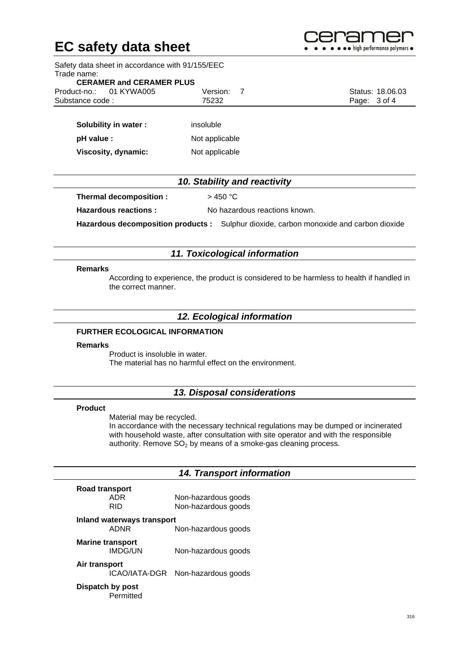

Safety data sheet in accordance with 91/155/EEC Trade name: **CERAMER and CERAMER PLUS**  Product-no.: 01 KYWA005 Version: 7 Status: 18.06.03 Substance code : T5232 Page: 3 of 4 **Solubility in water :** insoluble **pH value :** Not applicable **Viscosity, dynamic:** Not applicable *10. Stability and reactivity* **Thermal decomposition :**  $> 450 °C$ **Hazardous reactions :** No hazardous reactions known.

**Hazardous decomposition products :** Sulphur dioxide, carbon monoxide and carbon dioxide

#### *11. Toxicological information*

#### **Remarks**

According to experience, the product is considered to be harmless to health if handled in the correct manner.

### *12. Ecological information*

## **FURTHER ECOLOGICAL INFORMATION**

#### **Remarks**

Product is insoluble in water. The material has no harmful effect on the environment.

## *13. Disposal considerations*

#### **Product**

Material may be recycled. In accordance with the necessary technical regulations may be dumped or incinerated with household waste, after consultation with site operator and with the responsible authority. Remove  $SO<sub>2</sub>$  by means of a smoke-gas cleaning process.

## *14. Transport information*

| Road transport             |                     |
|----------------------------|---------------------|
| ADR                        | Non-hazardous goods |
| RID.                       | Non-hazardous goods |
| Inland waterways transport |                     |

ADNR Non-hazardous goods

**Marine transport**

Non-hazardous goods

**Air transport**

ICAO/IATA-DGR Non-hazardous goods

## **Dispatch by post**

Permitted